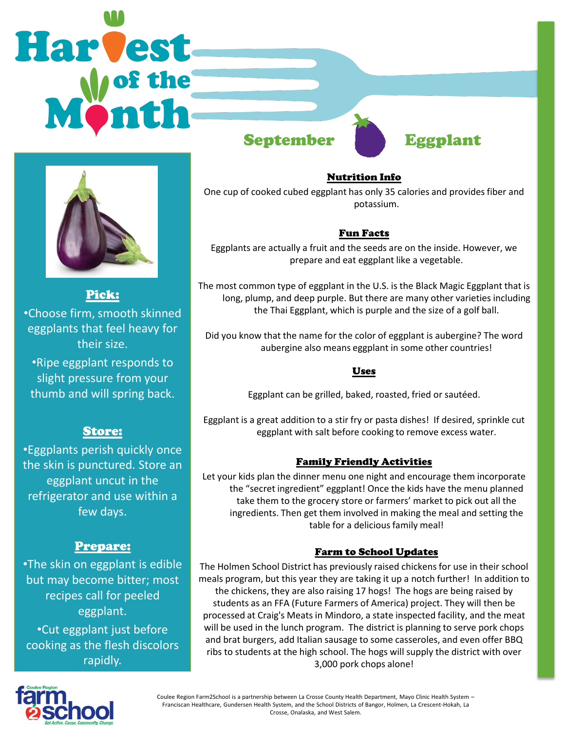# **Harvest** September Eggplant



Pick: •Choose firm, smooth skinned eggplants that feel heavy for their size.

•Ripe eggplant responds to slight pressure from your thumb and will spring back.

# Store:

•Eggplants perish quickly once the skin is punctured. Store an eggplant uncut in the refrigerator and use within a few days.

## Prepare:

•The skin on eggplant is edible but may become bitter; most recipes call for peeled eggplant. •Cut eggplant just before cooking as the flesh discolors rapidly.

Nutrition Info

One cup of cooked cubed eggplant has only 35 calories and provides fiber and potassium.

## Fun Facts

Eggplants are actually a fruit and the seeds are on the inside. However, we prepare and eat eggplant like a vegetable.

The most common type of eggplant in the U.S. is the Black Magic Eggplant that is long, plump, and deep purple. But there are many other varieties including the Thai Eggplant, which is purple and the size of a golf ball.

Did you know that the name for the color of eggplant is aubergine? The word aubergine also means eggplant in some other countries!

#### Uses

Eggplant can be grilled, baked, roasted, fried or sautéed.

Eggplant is a great addition to a stir fry or pasta dishes! If desired, sprinkle cut eggplant with salt before cooking to remove excess water.

## Family Friendly Activities

Let your kids plan the dinner menu one night and encourage them incorporate the "secret ingredient" eggplant! Once the kids have the menu planned take them to the grocery store or farmers' market to pick out all the ingredients. Then get them involved in making the meal and setting the table for a delicious family meal!

## Farm to School Updates

The Holmen School District has previously raised chickens for use in their school meals program, but this year they are taking it up a notch further! In addition to the chickens, they are also raising 17 hogs! The hogs are being raised by students as an FFA (Future Farmers of America) project. They will then be processed at Craig's Meats in Mindoro, a state inspected facility, and the meat will be used in the lunch program. The district is planning to serve pork chops and brat burgers, add Italian sausage to some casseroles, and even offer BBQ ribs to students at the high school. The hogs will supply the district with over 3,000 pork chops alone!



Coulee Region Farm2School is a partnership between La Crosse County Health Department, Mayo Clinic Health System – Franciscan Healthcare, Gundersen Health System, and the School Districts of Bangor, Holmen, La Crescent-Hokah, La Crosse, Onalaska, and West Salem.